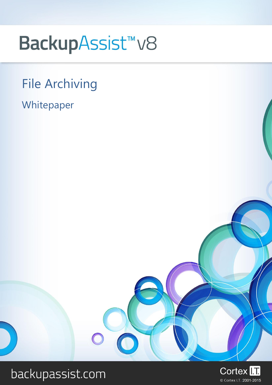# BackupAssist<sup>™</sup>v8

## File Archiving

Whitepaper



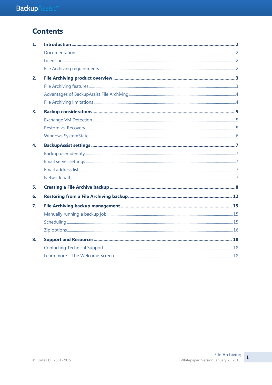## **Contents**

| $\mathbf{1}$ . |  |
|----------------|--|
|                |  |
|                |  |
|                |  |
| 2.             |  |
|                |  |
|                |  |
|                |  |
| $\mathbf{3}$   |  |
|                |  |
|                |  |
|                |  |
| 4.             |  |
|                |  |
|                |  |
|                |  |
|                |  |
| 5.             |  |
| 6.             |  |
| 7.             |  |
|                |  |
|                |  |
|                |  |
| 8.             |  |
|                |  |
|                |  |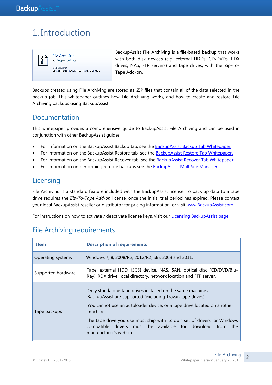## 1. Introduction



BackupAssist File Archiving is a file-based backup that works with both disk devices (e.g. external HDDs, CD/DVDs, RDX drives, NAS, FTP servers) and tape drives, with the Zip-To-Tape Add-on.

Backups created using File Archiving are stored as .ZIP files that contain all of the data selected in the backup job. This whitepaper outlines how File Archiving works, and how to create and restore File Archiving backups using BackupAssist.

### Documentation

This whitepaper provides a comprehensive guide to BackupAssist File Archiving and can be used in conjunction with other BackupAssist guides.

- For information on the BackupAssist Backup tab, see the [BackupAssist Backup Tab Whitepaper.](http://www.backupassist.com/education/v8/whitepapers/backup_whitepaper.html)
- For information on the BackupAssist Restore tab, see the [BackupAssist Restore Tab Whitepaper.](http://www.backupassist.com/education/v8/whitepapers/restore_whitepaper.html)
- For information on the BackupAssist Recover tab, see the [BackupAssist Recover Tab Whitepaper.](http://www.backupassist.com/education/v8/whitepapers/recover_whitepaper.html)
- For information on performing remote backups see the [BackupAssist MultiSite Manager](http://www.backupassist.com/education/v8/whitepapers/MultiSite_Manager.html)

## **Licensing**

File Archiving is a standard feature included with the BackupAssist license. To back up data to a tape drive requires the *Zip-To-Tape Add-on* license, once the initial trial period has expired. Please contact your local BackupAssist reseller or distributor for pricing information, or visit [www.BackupAssist.com.](http://www.backupassist.com/)

For instructions on how to activate / deactivate license keys, visit our [Licensing BackupAssist page.](http://www.backupassist.com/education/whitepapers/licensing_backupassist.html)

| Item                                                                                                                                                              | <b>Description of requirements</b>                                                                                                                                                                                                                                                                                                                                                     |  |  |
|-------------------------------------------------------------------------------------------------------------------------------------------------------------------|----------------------------------------------------------------------------------------------------------------------------------------------------------------------------------------------------------------------------------------------------------------------------------------------------------------------------------------------------------------------------------------|--|--|
| Operating systems                                                                                                                                                 | Windows 7, 8, 2008/R2, 2012/R2, SBS 2008 and 2011.                                                                                                                                                                                                                                                                                                                                     |  |  |
| Tape, external HDD, iSCSI device, NAS, SAN, optical disc (CD/DVD/Blu-<br>Supported hardware<br>Ray), RDX drive, local directory, network location and FTP server. |                                                                                                                                                                                                                                                                                                                                                                                        |  |  |
| Tape backups                                                                                                                                                      | Only standalone tape drives installed on the same machine as<br>BackupAssist are supported (excluding Travan tape drives).<br>You cannot use an autoloader device, or a tape drive located on another<br>machine.<br>The tape drive you use must ship with its own set of drivers, or Windows<br>compatible drivers must be available for download from the<br>manufacturer's website. |  |  |

## File Archiving requirements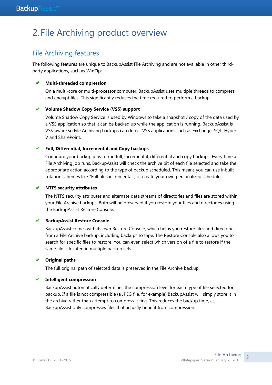## 2. File Archiving product overview

## File Archiving features

The following features are unique to BackupAssist File Archiving and are not available in other thirdparty applications, such as WinZip:

#### **Multi-threaded compression**

On a multi-core or multi-processor computer, BackupAssist uses multiple threads to compress and encrypt files. This significantly reduces the time required to perform a backup.

#### **Volume Shadow Copy Service (VSS) support**

Volume Shadow Copy Service is used by Windows to take a snapshot / copy of the data used by a VSS application so that it can be backed up while the application is running. BackupAssist is VSS-aware so File Archiving backups can detect VSS applications such as Exchange, SQL, Hyper-V and SharePoint.

#### **Full, Differential, Incremental and Copy backups**

Configure your backup jobs to run full, incremental, differential and copy backups. Every time a File Archiving job runs, BackupAssist will check the archive bit of each file selected and take the appropriate action according to the type of backup scheduled. This means you can use inbuilt rotation schemes like "Full plus incremental", or create your own personalized schedules.

#### **NTFS security attributes**

The NTFS security attributes and alternate data streams of directories and files are stored within your File Archive backups. Both will be preserved if you restore your files and directories using the BackupAssist Restore Console.

#### **BackupAssist Restore Console**

BackupAssist comes with its own Restore Console, which helps you restore files and directories from a File Archive backup, including backups to tape. The Restore Console also allows you to search for specific files to restore. You can even select which version of a file to restore if the same file is located in multiple backup sets.

#### **Original paths**

The full original path of selected data is preserved in the File Archive backup.

#### **Intelligent compression**

BackupAssist automatically determines the compression level for each type of file selected for backup. If a file is not compressible (a JPEG file, for example) BackupAssist will simply store it in the archive rather than attempt to compress it first. This reduces the backup time, as BackupAssist only compresses files that actually benefit from compression.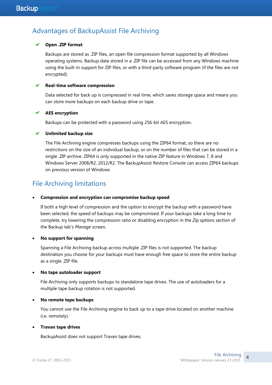## Advantages of BackupAssist File Archiving

#### **Open .ZIP format**

Backups are stored as .ZIP files, an open file compression format supported by all Windows operating systems. Backup data stored in a .ZIP file can be accessed from any Windows machine using the built-in support for ZIP files, or with a third-party software program (if the files are not encrypted).

#### **Real-time software compression**

Data selected for back up is compressed in real time, which saves storage space and means you can store more backups on each backup drive or tape.

#### **AES encryption**

Backups can be protected with a password using 256-bit AES encryption.

#### **Unlimited backup size**

The File Archiving engine compresses backups using the ZIP64 format, so there are no restrictions on the size of an individual backup, or on the number of files that can be stored in a single .ZIP archive. ZIP64 is only supported in the native ZIP feature in Windows 7, 8 and Windows Server 2008/R2, 2012/R2. The BackupAssist Restore Console can access ZIP64 backups on previous version of Windows

## File Archiving limitations

#### **Compression and encryption can compromise backup speed**

If both a high level of compression and the option to encrypt the backup with a password have been selected, the speed of backups may be compromised. If your backups take a long time to complete, try lowering the compression ratio or disabling encryption in the *Zip options* section of the Backup tab"s *Manage* screen.

#### **No support for spanning**

Spanning a File Archiving backup across multiple .ZIP files is not supported. The backup destination you choose for your backups must have enough free space to store the entire backup as a single .ZIP file.

#### **No tape autoloader support**

File Archiving only supports backups to standalone tape drives. The use of autoloaders for a multiple tape backup rotation is not supported.

#### **No remote tape backups**

You cannot use the File Archiving engine to back up to a tape drive located on another machine (i.e. remotely).

#### **Travan tape drives**

BackupAssist does not support Travan tape drives.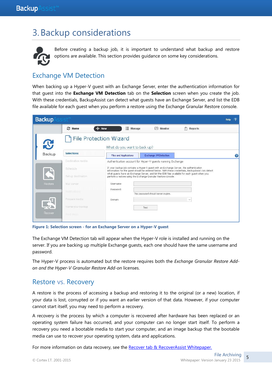## 3.Backup considerations



 Before creating a backup job, it is important to understand what backup and restore options are available. This section provides guidance on some key considerations.

### <span id="page-5-0"></span>Exchange VM Detection

When backing up a Hyper-V guest with an Exchange Server, enter the authentication information for that guest into the **Exchange VM Detection** tab on the **Selection** screen when you create the job. With these credentials, BackupAssist can detect what guests have an Exchange Server, and list the EDB file available for each guest when you perform a restore using the Exchange Granular Restore console.

| <b>Backup</b> |                    |                                                               |                                                                                                                                                                                               |              | $\overline{2}$<br><b>Help</b> |
|---------------|--------------------|---------------------------------------------------------------|-----------------------------------------------------------------------------------------------------------------------------------------------------------------------------------------------|--------------|-------------------------------|
|               | <b>图 Home</b>      | 這<br>┺<br>New<br>Manage                                       | $\sqrt{N}$ Monitor                                                                                                                                                                            | 圚<br>Reports |                               |
|               |                    | <b>File Protection Wizard</b><br>What do you want to back up? |                                                                                                                                                                                               |              |                               |
| Backup        | <b>Selections</b>  | <b>Files and Applications</b>                                 | Exchange VM Detection                                                                                                                                                                         |              | $\overline{?}$                |
|               | Destination media  |                                                               | Authentication account for Hyper-V quests running Exchange                                                                                                                                    |              |                               |
|               | Schedule           |                                                               | If your backup job contains a Hyper-V guest with an Exchange Server, the authentication<br>information for the quest should be entered below. With these credentials, BackupAssist can detect |              |                               |
|               | Set up destination |                                                               | what quests have an Exchange Server, and list the EDB files available for each quest when you<br>perform a restore using the Exchange Granular Restore console.                               |              |                               |
| Restore       | Mail server        | Lisername:                                                    |                                                                                                                                                                                               |              |                               |
|               | Notifications      | Password:                                                     | This password should never expire.                                                                                                                                                            |              |                               |
|               | Prepare media      | Domain:                                                       |                                                                                                                                                                                               | $\vee$       |                               |
|               | Name your backup   |                                                               | Test                                                                                                                                                                                          |              |                               |
| Recover       | Neit steps         |                                                               |                                                                                                                                                                                               |              |                               |

**Figure 1: Selection screen - for an Exchange Server on a Hyper-V guest**

The Exchange VM Detection tab will appear when the Hyper-V role is installed and running on the server. If you are backing up multiple Exchange guests, each one should have the same username and password.

The Hyper-V process is automated but the restore requires both the *Exchange Granular Restore Addon and the Hyper-V Granular Restore Add-on* licenses.

### Restore vs. Recovery

A restore is the process of accessing a backup and restoring it to the original (or a new) location, if your data is lost, corrupted or if you want an earlier version of that data. However, if your computer cannot start itself, you may need to perform a recovery.

A recovery is the process by which a computer is recovered after hardware has been replaced or an operating system failure has occurred, and your computer can no longer start itself. To perform a recovery you need a bootable media to start your computer, and an image backup that the bootable media can use to recover your operating system, data and applications.

For more information on data recovery, see the [Recover tab & RecoverAssist Whitepaper.](http://www.backupassist.com/education/v8/whitepapers/recover_whitepaper.html)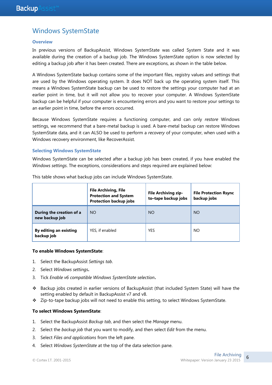## Windows SystemState

#### **Overview**

In previous versions of BackupAssist, Windows SystemState was called System State and it was available during the creation of a backup job. The Windows SystemState option is now selected by editing a backup job after it has been created. There are exceptions, as shown in the table below.

A Windows SystemState backup contains some of the important files, registry values and settings that are used by the Windows operating system. It does NOT back up the operating system itself. This means a Windows SystemState backup can be used to restore the settings your computer had at an earlier point in time, but it will not allow you to recover your computer. A Windows SystemState backup can be helpful if your computer is encountering errors and you want to restore your settings to an earlier point in time, before the errors occurred.

Because Windows SystemState requires a functioning computer, and can only *restore* Windows settings, we recommend that a bare-metal backup is used. A bare-metal backup can restore Windows SystemState data, and it can ALSO be used to perform a *recovery* of your computer, when used with a Windows recovery environment, like RecoverAssist.

#### **Selecting Windows SystemState**

Windows SystemState can be selected after a backup job has been created, if you have enabled the *Windows settings*. The exceptions, considerations and steps required are explained below:

|                                            | <b>File Archiving, File</b><br><b>Protection and System</b><br><b>Protection backup jobs</b> | <b>File Archiving zip-</b><br>to-tape backup jobs | <b>File Protection Rsync</b><br>backup jobs |  |
|--------------------------------------------|----------------------------------------------------------------------------------------------|---------------------------------------------------|---------------------------------------------|--|
| During the creation of a<br>new backup job | <b>NO</b>                                                                                    | <b>NO</b>                                         | <b>NO</b>                                   |  |
| By editing an existing<br>backup job       | YES, if enabled                                                                              | <b>YES</b>                                        | NO                                          |  |

This table shows what backup jobs can include Windows SystemState.

#### **To enable Windows SystemState**:

- 1. Select the BackupAssist *Settings tab*.
- 2. Select *Windows settings***.**
- 3. Tick *Enable v6 compatible Windows SystemState selection***.**
- Backup jobs created in earlier versions of BackupAssist (that included System State) will have the setting enabled by default in BackupAssist v7 and v8.
- Zip-to-tape backup jobs will not need to enable this setting, to select Windows SystemState.

#### **To select Windows SystemState**:

- 1. Select the BackupAssist *Backup tab*, and then select the *Manage* menu.
- 2. Select the *backup job* that you want to modify, and then select *Edit* from the menu.
- 3. Select *Files and applications* from the left pane.
- 4. Select *Windows SystemState* at the top of the data selection pane.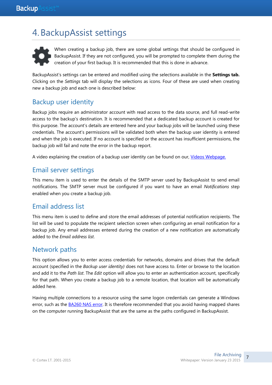## 4.BackupAssist settings



When creating a backup job, there are some global settings that should be configured in BackupAssist. If they are not configured, you will be prompted to complete them during the creation of your first backup. It is recommended that this is done in advance.

<span id="page-7-0"></span>BackupAssist"s settings can be entered and modified using the selections available in the **Settings tab.**  Clicking on the *Settings* tab will display the selections as icons. Four of these are used when creating new a backup job and each one is described below:

## Backup user identity

Backup jobs require an administrator account with read access to the data source, and full read-write access to the backup"s destination. It is recommended that a dedicated backup account is created for this purpose. The account"s details are entered here and your backup jobs will be launched using these credentials. The account"s permissions will be validated both when the backup user identity is entered and when the job is executed. If no account is specified or the account has insufficient permissions, the backup job will fail and note the error in the backup report.

A video explaining the creation of a backup user identity can be found on our, [Videos Webpage.](http://www.backupassist.com/education/videos.html)

### <span id="page-7-1"></span>Email server settings

This menu item is used to enter the details of the SMTP server used by BackupAssist to send email notifications. The SMTP server must be configured if you want to have an email *Notifications* step enabled when you create a backup job.

### Email address list

This menu item is used to define and store the email addresses of potential notification recipients. The list will be used to populate the recipient selection screen when configuring an email notification for a backup job. Any email addresses entered during the creation of a new notification are automatically added to the *Email address list*.

### Network paths

This option allows you to enter access credentials for networks, domains and drives that the default account (specified in the *Backup user identity)* does not have access to. Enter or browse to the location and add it to the *Path list*. The *Edit* option will allow you to enter an authentication account, specifically for that path. When you create a backup job to a remote location, that location will be automatically added here.

Having multiple connections to a resource using the same logon credentials can generate a Windows error, such as the **BA260 NAS error.** It is therefore recommended that you avoid having mapped shares on the computer running BackupAssist that are the same as the paths configured in BackupAssist.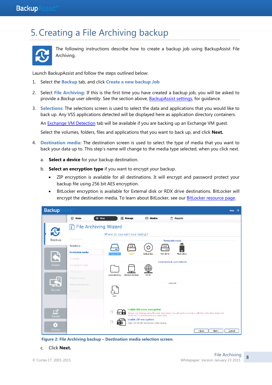## 5.Creating a File Archiving backup



The following instructions describe how to create a backup job using BackupAssist File Archiving.

Launch BackupAssist and follow the steps outlined below:

- 1. Select the **Backup** tab, and click **Create a new backup Job**
- 2. Select **File Archiving:** If this is the first time you have created a backup job, you will be asked to provide a *Backup user identity*. See the section above, [BackupAssist settings,](#page-7-0) for guidance.
- 3. **Selections:** The selections screen is used to select the data and applications that you would like to back up. Any VSS applications detected will be displayed here as application directory containers.

An [Exchange VM Detection](#page-5-0) tab will be available if you are backing up an Exchange VM guest.

Select the volumes, folders, files and applications that you want to back up, and click **Next.**

- 4. **Destination media:** The destination screen is used to select the type of media that you want to back your data up to. This step"s name will change to the media type selected, when you click next.
	- a. **Select a device** for your backup destination.
	- b. **Select an encryption type** if you want to encrypt your backup.
		- ZIP encryption is available for all destinations. It will encrypt and password protect your backup file using 256 bit AES encryption.
		- BitLocker encryption is available for External disk or RDX drive destinations. BitLocker will encrypt the destination media. To learn about BitLocker, see our [BitLocker resource page.](http://www.backupassist.com/education/v8/resources/bitlocker-encryption.html)



**Figure 2: File Archiving backup – Destination media selection screen.**

c. Click **Next.**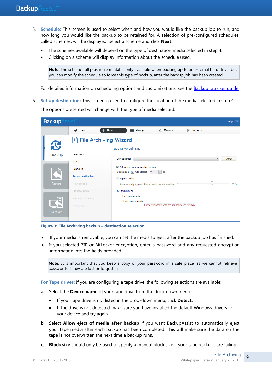- 5. **Schedule:** This screen is used to select when and how you would like the backup job to run, and how long you would like the backup to be retained for. A selection of pre-configured schedules, called schemes, will be displayed. Select a scheme and click **Next**.
	- The schemes available will depend on the type of destination media selected in step 4.
	- Clicking on a scheme will display information about the schedule used.

**Note**: The scheme full plus incremental is only available when backing up to an external hard drive, but you can modify the schedule to force this type of backup, after the backup job has been created.

For detailed information on scheduling options and customizations, see the **Backup tab user quide.** 

6. **Set up destination:** This screen is used to configure the location of the media selected in step 4.

The options presented will change with the type of media selected.

| <b>Backup</b> | sist™<br>$\overline{2}$<br>Help     |                                                                                     |  |  |  |  |
|---------------|-------------------------------------|-------------------------------------------------------------------------------------|--|--|--|--|
|               | <b>&amp;</b> Home<br><b>New</b>     | <b>E</b> Manage<br>Monitor<br>計<br><b>Reports</b>                                   |  |  |  |  |
| $\mathbf{C}$  | File Archiving Wizard               | Tape drive settings                                                                 |  |  |  |  |
| <b>Backup</b> | Selections<br>Tape*                 | Device name:<br>Detect<br>$\blacktriangledown$                                      |  |  |  |  |
| S             | Schedule                            | Allow eject of media after backup<br>$\frac{1}{x}$ kb<br>Block size : 7 Auto detect |  |  |  |  |
| Restore       | Set up destination<br>Notifications | Append backup<br>Automatically append if tape used space is less than<br>50 %       |  |  |  |  |
|               | Prepare media<br>Name your backup   | ZIP encryption:<br>Enter password:<br>Confirm password:                             |  |  |  |  |
| Recover       | Next steps                          | Forgotten passwords are impossible to retrieve.                                     |  |  |  |  |

**Figure 3: File Archiving backup – destination selection**

- If your media is removable, you can set the media to eject after the backup job has finished.
- If you selected ZIP or BitLocker encryption, enter a password and any requested encryption information into the fields provided.

Note: It is important that you keep a copy of your password in a safe place, as we cannot retrieve passwords if they are lost or forgotten.

**For Tape drives:** If you are configuring a tape drive, the following selections are available:

- a. Select the **Device name** of your tape drive from the drop-down menu.
	- If your tape drive is not listed in the drop-down menu, click **Detect.**
	- If the drive is not detected make sure you have installed the default Windows drivers for your device and try again.
- b. Select **Allow eject of media after backup** if you want BackupAssist to automatically eject your tape media after each backup has been completed. This will make sure the data on the tape is not overwritten the next time a backup runs.
- c. **Block size** should only be used to specify a manual block size if your tape backups are failing.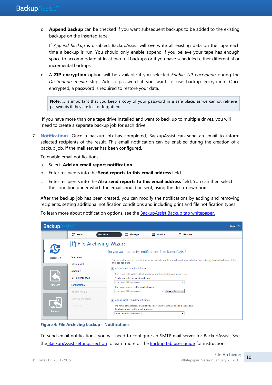d. **Append backup** can be checked if you want subsequent backups to be added to the existing backups on the inserted tape.

If *Append backup* is disabled, BackupAssist will overwrite all existing data on the tape each time a backup is run. You should only enable append if you believe your tape has enough space to accommodate at least two full backups or if you have scheduled either differential or incremental backups.

e. A **ZIP encryption** option will be available if you selected *Enable ZIP encryption* during the *Destination media* step. Add a password if you want to use backup encryption. Once encrypted, a password is required to restore your data.

Note: It is important that you keep a copy of your password in a safe place, as we cannot retrieve passwords if they are lost or forgotten.

If you have more than one tape drive installed and want to back up to multiple drives, you will need to create a separate backup job for each drive

7. **Notifications**: Once a backup job has completed, BackupAssist can send an email to inform selected recipients of the result. This email notification can be enabled during the creation of a backup job, if the mail server has been configured.

To enable email notifications:

- a. Select, **Add an email report notification.**
- b. Enter recipients into the **Send reports to this email address** field.
- c. Enter recipients into the **Also send reports to this email address** field. You can then select the condition under which the email should be sent, using the drop-down box.

After the backup job has been created, you can modify the notifications by adding and removing recipients, setting additional notification conditions and including print and file notification types.

To learn more about notification options, see the **BackupAssist Backup tab whitepaper.** 

| <b>Backup</b>      |                                  | Help                                                                                                                                                                       |  |  |  |  |
|--------------------|----------------------------------|----------------------------------------------------------------------------------------------------------------------------------------------------------------------------|--|--|--|--|
|                    | <b>C</b> Home                    | <b>E</b> Manage<br>E.<br>$M$ Monitor<br><b>New</b><br><b>Reports</b>                                                                                                       |  |  |  |  |
| $\mathbf{C}$       | File Archiving Wizard            | Do you want to receive notifications from BackupAssist?                                                                                                                    |  |  |  |  |
| <b>Backup</b>      | <b>Selections</b>                | You can enable backup reports and media reminder notifications by making a selection and entering the email address of the<br>intended recipient.                          |  |  |  |  |
|                    | <b>External disk</b><br>Schedule | Add an email report notification<br>$\overline{\mathbf{v}}$<br>The report notification will let you know whether the job was successful.                                   |  |  |  |  |
| Set up destination |                                  | Send reports to this email address:                                                                                                                                        |  |  |  |  |
| Restore            | <b>Notifications</b>             | name <email@domain.com><br/><math>\checkmark</math><br/>Also send reports to this email address:</email@domain.com>                                                        |  |  |  |  |
|                    | Prepare media                    | name <email@domain.com><br/><math>\blacktriangleright</math> Errors only</email@domain.com>                                                                                |  |  |  |  |
| Ź.                 | Name your backup                 | Add an email reminder notification<br>$\overline{\mathbf{v}}$                                                                                                              |  |  |  |  |
| Recover            | Next steps                       | The reminder notification will let you know when the media has to be changed.<br>Send reminders to this email address:<br>name <email@domain.com><br/>۰</email@domain.com> |  |  |  |  |

**Figure 4: File Archiving backup – Notifications**

To send email notifications, you will need to configure an SMTP mail server for BackupAssist. See the [BackupAssist settings section](#page-7-1) to learn more or the [Backup tab user guide](http://www.backupassist.com/downloads/v8/backup_tab_userguide.pdf) for instructions.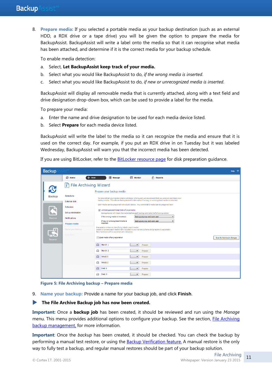8. **Prepare media:** If you selected a portable media as your backup destination (such as an external HDD, a RDX drive or a tape drive) you will be given the option to prepare the media for BackupAssist. BackupAssist will write a label onto the media so that it can recognise what media has been attached, and determine if it is the correct media for your backup schedule.

To enable media detection:

- a. Select, **Let BackupAssist keep track of your media.**
- b. Select what you would like BackupAssist to do, *if the wrong media is inserted*.
- c. Select what you would like BackupAssist to do, *if new or unrecognized media is inserted*.

BackupAssist will display all removable media that is currently attached, along with a text field and drive designation drop-down box, which can be used to provide a label for the media.

To prepare your media:

- a. Enter the name and drive designation to be used for each media device listed.
- b. Select **Prepare** for each media device listed.

BackupAssist will write the label to the media so it can recognize the media and ensure that it is used on the correct day. For example, if you put an RDX drive in on Tuesday but it was labeled Wednesday, BackupAssist will warn you that the incorrect media has been detected.

If you are using BitLocker, refer to the **BitLocker resource page** for disk preparation guidance.

| <b>Backup</b> | $\overline{2}$<br>Help          |                                                                                                                                                                                                        |                                     |                                      |                           |
|---------------|---------------------------------|--------------------------------------------------------------------------------------------------------------------------------------------------------------------------------------------------------|-------------------------------------|--------------------------------------|---------------------------|
|               | $+$ New<br><b><i>C</i></b> Home | $\equiv$ Manage                                                                                                                                                                                        | Monitor                             | $\left  \widehat{x} \right $ Reports |                           |
| $\mathbf{C}$  | File Archiving Wizard           | Prepare your backup media                                                                                                                                                                              |                                     |                                      |                           |
| <b>Backup</b> | Selections                      | To ensure that your media rotation strategy is followed, we recommend that you prepare and label your                                                                                                  |                                     |                                      |                           |
|               | <b>External disk</b>            | backup media. This allows BackupAssist to take action if wrong, or unrecognized media is detected.                                                                                                     |                                     |                                      |                           |
|               | Schedule                        | Each media can be prepared individually below. Any unavailable media can be prepared later.                                                                                                            |                                     |                                      |                           |
|               | Set up destination              | V Let BackupAssist keep track of your media<br>BackupAssist will check the media before each backup and take the following action:                                                                     |                                     |                                      |                           |
| Restore       | <b>Notifications</b>            | If the wrong media is inserted:                                                                                                                                                                        | Back up anyway and warn user        |                                      |                           |
|               | Prepare media                   | If new or unrecognized media is<br>inserted:                                                                                                                                                           | Back up anyway and warn user        | ۰                                    |                           |
|               | Name your backup                | Preparation writes an identifying label to each media.<br>Insert or connect each media item included in your current scheme and prepare it separately.<br>New hardware will be automatically detected. |                                     |                                      |                           |
| Recover       | Next steps                      | Elect media after preparation                                                                                                                                                                          |                                     |                                      | Scan for hardware changes |
|               |                                 | $\ominus$<br>Month 1                                                                                                                                                                                   | Prepare<br>$\blacktriangledown$     |                                      |                           |
|               |                                 | Month 2<br>⊟                                                                                                                                                                                           | Prepare<br>$\blacktriangledown$     |                                      |                           |
|               |                                 | Week 1<br>⊟                                                                                                                                                                                            | Prepare<br>۰                        |                                      |                           |
|               |                                 | Week 2<br>⊟                                                                                                                                                                                            | Prepare<br>$\blacktriangledown$     |                                      |                           |
|               |                                 | Daily 1<br>$\ominus$                                                                                                                                                                                   | Prepare<br>$\overline{\phantom{0}}$ |                                      |                           |
|               |                                 | Daily 2<br>$\triangle$                                                                                                                                                                                 | Prepare<br>▼                        |                                      |                           |

**Figure 5: File Archiving backup – Prepare media**

9. **Name your backup:** Provide a name for your backup job, and click **Finish**.

#### **The File Archive Backup job has now been created.**

**Important:** Once a **backup job** has been created, it should be reviewed and run using the *Manage* menu. This menu provides additional options to configure your backup. See the section, [File Archiving](#page-14-0) [backup management,](#page-14-0) for more information.

**Important**: Once the *backup* has been created, it should be checked. You can check the backup by performing a manual test restore, or using the [Backup Verification feature.](http://www.backupassist.com/education/v8/resources/backup-verification.html) A manual restore is the only way to fully test a backup, and regular manual restores should be part of your backup solution.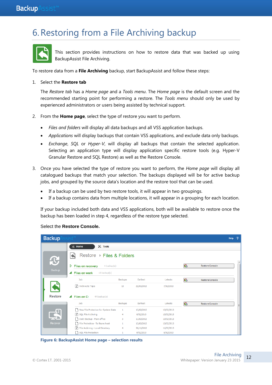## 6.Restoring from a File Archiving backup



This section provides instructions on how to restore data that was backed up using BackupAssist File Archiving.

To restore data from a **File Archiving** backup, start BackupAssist and follow these steps:

#### 1. Select the **Restore tab**

The *Restore tab* has a *Home page* and a *Tools menu*. The *Home page* is the default screen and the recommended starting point for performing a restore. The *Tools menu* should only be used by experienced administrators or users being assisted by technical support.

- 2. From the **Home page**, select the type of restore you want to perform.
	- *Files and folders* will display all data backups and all VSS application backups.
	- *Applications* will display backups that contain VSS applications, and exclude data only backups.
	- *Exchange*, *SQL* or *Hyper-V*, will display all backups that contain the selected application. Selecting an application type will display application specific restore tools (e.g. Hyper-V Granular Restore and SQL Restore) as well as the Restore Console.
- 3. Once you have selected the type of restore you want to perform, the *Home page* will display all catalogued backups that match your selection. The backups displayed will be for active backup jobs, and grouped by the source data"s location and the restore tool that can be used.
	- If a backup can be used by two restore tools, it will appear in two groupings.
	- If a backup contains data from multiple locations, it will appear in a grouping for each location.

If your backup included both data and VSS applications, both will be available to restore once the backup has been loaded in step 4, regardless of the restore type selected.

#### Select the **Restore Console.**

| <b>Backup</b>  | sist™                                          |                |            |            |   |                        | Help | $\overline{2}$ |
|----------------|------------------------------------------------|----------------|------------|------------|---|------------------------|------|----------------|
|                | $\mathbb{R}$<br>$\mathbb{X}$ Tools<br>Home     |                |            |            |   |                        |      |                |
| $\mathbf G$    | Restore ▶ Files & Folders                      |                |            |            |   |                        |      | ▲              |
|                | D<br><b>Files on recovery</b><br>$1$ backup(s) |                |            |            | G | Restore Console        |      |                |
| <b>Backup</b>  | Files on work<br>13 backup(s)<br>◢             |                |            |            |   |                        |      |                |
|                | Job                                            | <b>Backups</b> | Earliest   | Latests    | G | <b>Restore Console</b> |      |                |
|                | Archive to Tape                                | 13             | 22/01/2013 | 7/02/2013  |   |                        |      |                |
| <b>Restore</b> | Files on C:<br>44 backup(s)                    |                |            |            |   |                        |      |                |
|                | Job                                            | <b>Backups</b> | Earliest   | Latests    | G | Restore Console        |      | ≡              |
|                | New File Protection for System State           | 1              | 13/02/2013 | 13/02/2013 |   |                        |      |                |
|                | SQL File Archiving                             | 4              | 8/02/2013  | 13/02/2013 |   |                        |      |                |
|                | n.<br>Daily Backup - Main office               | 3              | 11/02/2013 | 13/02/2013 |   |                        |      |                |
| Recover        | File Protection - To Rsync host                | 1              | 13/02/2013 | 13/02/2013 |   |                        |      |                |
|                | File Archiving - Local Directory               | 4              | 30/11/2012 | 11/02/2013 |   |                        |      |                |
|                | SQL File Protection                            | 1              | 8/02/2013  | 8/02/2013  |   |                        |      |                |

**Figure 6: BackupAssist Home page – selection results**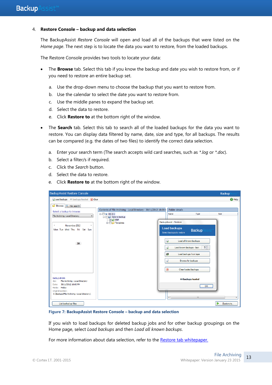#### 4. **Restore Console – backup and data selection**

The BackupAssist *Restore Console* will open and load all of the backups that were listed on the *Home page*. The next step is to locate the data you want to restore, from the loaded backups.

The Restore Console provides two tools to locate your data:

- The **Browse** tab. Select this tab if you know the backup and date you wish to restore from, or if you need to restore an entire backup set.
	- a. Use the drop-down menu to choose the backup that you want to restore from.
	- b. Use the calendar to select the date you want to restore from.
	- c. Use the middle panes to expand the backup set.
	- d. Select the data to restore.
	- e. Click **Restore to** at the bottom right of the window.
- The **Search** tab. Select this tab to search all of the loaded backups for the data you want to restore. You can display data filtered by name, date, size and type, for all backups. The results can be compared (e.g. the dates of two files) to identify the correct data selection.
	- a. Enter your search term (The search accepts wild card searches, such as *\*.log* or *\*.doc*).
	- b. Select a filter/s if required.
	- c. Click the *Search* button.
	- d. Select the data to restore.
	- e. Click **Restore to** at the bottom right of the window.

| <b>BackupAssist Restore Console</b>                                                                                                                                                                   |                                                                                                                                                                                                                                                                                                                                                                                                                           | <b>Backup</b>     |
|-------------------------------------------------------------------------------------------------------------------------------------------------------------------------------------------------------|---------------------------------------------------------------------------------------------------------------------------------------------------------------------------------------------------------------------------------------------------------------------------------------------------------------------------------------------------------------------------------------------------------------------------|-------------------|
| Clear Coad backups 44 backups loaded (X) Clear                                                                                                                                                        |                                                                                                                                                                                                                                                                                                                                                                                                                           | <sup>O</sup> Help |
| <b>Browse R</b> File search                                                                                                                                                                           |                                                                                                                                                                                                                                                                                                                                                                                                                           |                   |
| Select a backup to browse:                                                                                                                                                                            | Contents of File Archiving - Local Directory - 30/11/2012 10:00:<br>Folder details                                                                                                                                                                                                                                                                                                                                        |                   |
| File Archiving - Local Directory<br>▼<br>November 2012<br>$\blacktriangleleft$<br>Mon Tue Wed Thu Fri Sat Sun<br>30 <sub>1</sub><br><b>Backup details</b><br>File Archiving - Local Directory<br>Job: | $\Box$ OS (C:)<br>Name<br>Type<br><b>Data to backup</b><br>$\nabla$ $\rho$ PDF<br><b>BackupAssist - Restore</b><br><b>E</b> Templates<br><b>Load backups</b><br><b>Backup</b><br>sist'<br>Select backups to restore<br>Load all known backups<br>€<br>$5\div$<br>£<br>Load known backups - last:<br>國<br>Load backups from tape<br>£<br>Browse for backups<br>$^{\circledR}$<br>Clear loaded backups<br>44 backups loaded | <b>Size</b>       |
| 30/11/2012 10:00 PM<br>Date:<br>Media: Fridav                                                                                                                                                         | OK                                                                                                                                                                                                                                                                                                                                                                                                                        |                   |
| Original location:<br>C:\Backups\File Archiving - Local directory\                                                                                                                                    | m.<br>$\overline{a}$                                                                                                                                                                                                                                                                                                                                                                                                      |                   |
| List backed up files                                                                                                                                                                                  |                                                                                                                                                                                                                                                                                                                                                                                                                           | Restore to        |

**Figure 7: BackupAssist Restore Console – backup and data selection**

If you wish to load backups for deleted backup jobs and for other backup groupings on the Home page, select *Load backups* and then *Load all known backups*.

For more information about data selection, refer to the [Restore tab whitepaper.](http://www.backupassist.com/education/v8/whitepapers/restore_whitepaper.html)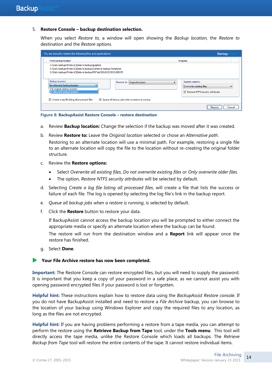#### 5. **Restore Console – backup destination selection.**

When you select *Restore to,* a window will open showing the *Backup location,* the *Restore to* destination and the *Restore options*.

| You are about to restore the following files and applications                                                                                                                                  | <b>Backup</b>                                                                    |
|------------------------------------------------------------------------------------------------------------------------------------------------------------------------------------------------|----------------------------------------------------------------------------------|
| From backup location                                                                                                                                                                           | Progress                                                                         |
| C: \Daily backups\Friday\C\Data to backup\graphics<br>C:\Daily backups\Friday\C\Data to backup\C\Data to backup\Templates<br>C:\Daily backups\Friday\C\Data to backup\PDF\old\SOURCE DOCUMENTS |                                                                                  |
| Backup location:<br>Restore to: Original location:<br>An alternate backup location<br>The original backup location<br>An alternate backup location                                             | Restore options:<br>Overwrite existing files<br>Restore NTFS security attributes |
| Create a log file listing all processed files<br>V Queue all backup jobs when a restore is running                                                                                             | Restore<br>Cancel                                                                |

**Figure 8: BackupAssist Restore Console – restore destination**

- a. Review **Backup location:** Change the selection if the backup was moved after it was created.
- b. Review **Restore to:** Leave the *Original location* selected or chose an *Alternative path*. Restoring to an alternate location will use a minimal path. For example, restoring a single file to an alternate location will copy the file to the location without re-creating the original folder structure.
- c. Review the **Restore options:**
	- Select *Overwrite all existing files*, *Do not overwrite existing files* or *Only overwrite older files*.
	- The option, *Restore NTFS security attributes* will be selected by default.
- d. Selecting *Create a log file listing all processed files*, will create a file that lists the success or failure of each file. The log is opened by selecting the log file"s link in the backup report.
- e. *Queue all backup jobs when a restore is running*, is selected by default.
- f. Click the **Restore** button to restore your data.

If BackupAssist cannot access the backup location you will be prompted to either connect the appropriate media or specify an alternate location where the backup can be found.

The restore will run from the destination window and a **Report** link will appear once the restore has finished.

g. Select **Done**.

#### **Your File Archive restore has now been completed.**

**Important:** The Restore Console can restore encrypted files, but you will need to supply the password. It is important that you keep a copy of your password in a safe place, as we cannot assist you with opening password encrypted files if your password is lost or forgotten.

**Helpful hint:** These instructions explain how to restore data using the *BackupAssist Restore console*. If you do not have BackupAssist installed and need to restore a *File Archive* backup, you can browse to the location of your backup using Windows Explorer and copy the required files to any location, as long as the files are not encrypted.

<span id="page-14-0"></span>**Helpful hint:** If you are having problems performing a restore from a tape media, you can attempt to perform the restore using the **Retrieve Backup from Tape** tool, under the **Tools menu**. This tool will directly access the tape media, unlike the Restore Console which loads all backups. The *Retrieve Backup from Tape* tool will restore the entire contents of the tape. It cannot restore individual items.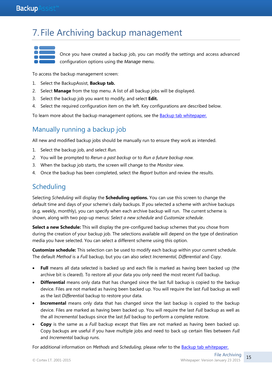## 7. File Archiving backup management



Once you have created a backup job, you can modify the settings and access advanced configuration options using the *Manage* menu.

To access the backup management screen:

- 1. Select the BackupAssist, **Backup tab.**
- 2. Select **Manage** from the top menu. A list of all backup jobs will be displayed.
- 3. Select the backup job you want to modify, and select **Edit.**
- 4. Select the required configuration item on the left. Key configurations are described below.

To learn more about the backup management options, see the **Backup tab whitepaper.** 

## Manually running a backup job

All new and modified backup jobs should be manually run to ensure they work as intended.

- 1. Select the backup job, and select *Run.*
- *2.* You will be prompted to *Rerun a past backup* or to *Run a future backup now.*
- 3. When the backup job starts, the screen will change to the *Monitor* view.
- 4. Once the backup has been completed, select the *Report* button and review the results.

## **Scheduling**

Selecting *Scheduling* will display the **Scheduling options.** You can use this screen to change the default time and days of your scheme"s daily backups. If you selected a scheme with archive backups (e.g. weekly, monthly), you can specify when each archive backup will run. The current scheme is shown, along with two pop-up menus: *Select a new schedule* and *Customize schedule*.

**Select a new Schedule:** This will display the pre-configured backup schemes that you chose from during the creation of your backup job. The selections available will depend on the type of destination media you have selected. You can select a different scheme using this option.

**Customize schedule:** This selection can be used to modify each backup within your current schedule. The default *Method* is a *Full* backup, but you can also select *Incremental*, *Differential* and *Copy*.

- **Full** means all data selected is backed up and each file is marked as having been backed up (the archive bit is cleared). To restore all your data you only need the most recent *Full* backup.
- **Differential** means only data that has changed since the last full backup is copied to the backup device. Files are not marked as having been backed up. You will require the last *Full* backup as well as the last *Differential* backup to restore your data.
- **Incremental** means only data that has changed since the last backup is copied to the backup device. Files are marked as having been backed up. You will require the last *Full* backup as well as the all *Incremental* backups since the last *full* backup to perform a complete restore.
- **Copy** is the same as a *Full* backup except that files are not marked as having been backed up. Copy backups are useful if you have multiple jobs and need to back up certain files between *Full* and *Incremental* backup runs.

For additional information on *Methods* and *Scheduling*, please refer to the [Backup tab whitepaper.](http://www.backupassist.com/education/v8/whitepapers/backup_whitepaper.html)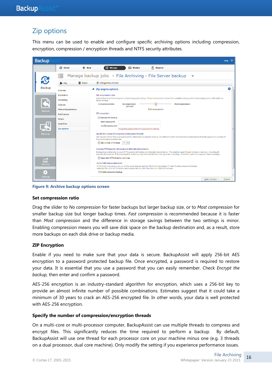## Zip options

This menu can be used to enable and configure specific archiving options including compression, encryption, compression / encryption threads and NTFS security attributes.

| <b>Backup</b>   |                                         | Help                                                                                                                                                                                                                                                                                                    |
|-----------------|-----------------------------------------|---------------------------------------------------------------------------------------------------------------------------------------------------------------------------------------------------------------------------------------------------------------------------------------------------------|
|                 | <b>&amp;</b> Home                       | $+$ New<br>$\equiv$ Manage<br>Monitor<br>$\left  \vec{x} \right $ Reports                                                                                                                                                                                                                               |
| ≔               |                                         | Manage backup jobs > File Archiving - File Server backup                                                                                                                                                                                                                                                |
| <b>J</b>        | <b>m</b> Delete<br>$\triangleright$ Run | Add desktop shortart                                                                                                                                                                                                                                                                                    |
| <b>Backup</b>   | Overview                                | $\bullet$<br>▲ Zip engine options                                                                                                                                                                                                                                                                       |
|                 | Destination                             | Set compression ratio                                                                                                                                                                                                                                                                                   |
|                 | Scheduling                              | Adjust how much time to spend compressing your backup. Slower compression allows for a smaller backup, while faster compression will result in a<br>larger backup.                                                                                                                                      |
|                 | Calendar                                | Compressionratio:<br>No compression<br>Mostcompression<br>(stored)                                                                                                                                                                                                                                      |
| Restore         | <b>Files and applications</b>           | <b>Fast compression</b>                                                                                                                                                                                                                                                                                 |
|                 | <b>Notifications</b>                    | ZIP encryption:                                                                                                                                                                                                                                                                                         |
|                 | <b>Scripts</b>                          | <b>Encrypt the backup</b>                                                                                                                                                                                                                                                                               |
|                 | Open files                              | Enter password:                                                                                                                                                                                                                                                                                         |
|                 | <b>Zip options</b>                      | Confirm password:<br>Forgotten passwords are impossible to retrieve.                                                                                                                                                                                                                                    |
| <b>Recover</b>  |                                         | Specify the number of compression/encryption threads                                                                                                                                                                                                                                                    |
|                 |                                         | Set a lower limit to free up processors for other tasks during the backup. The default number of compression/encryption threads equals to a number of<br>logical processors minus one.                                                                                                                  |
|                 |                                         | $\div$<br>Set number of threads<br>-3                                                                                                                                                                                                                                                                   |
|                 |                                         | Copying NTFS security attributes and alternate data streams:                                                                                                                                                                                                                                            |
|                 |                                         | BackupAssist attempts to copy NTFS security attributes and alternate data streams. This enables exact file and directory restores - including all<br>security information. If BackupAssist is unable to copy these attributes it will generate a warning. Check this option to suppress these warnings. |
| ◘               |                                         | Suppress NTFS streams warnings                                                                                                                                                                                                                                                                          |
| Remote          |                                         | Concurrent backup execution:                                                                                                                                                                                                                                                                            |
|                 |                                         | A File Archiving backup can run at the same time as another File Archiving backup if it has 'Enable concurrent backup'<br>selected. For a list of limitations and considerations, click the help icon inside this screen.                                                                               |
| ÷о:             |                                         | Enable concurrent backup                                                                                                                                                                                                                                                                                |
| <b>Settings</b> |                                         |                                                                                                                                                                                                                                                                                                         |
|                 |                                         | Apply changes<br>Cancel                                                                                                                                                                                                                                                                                 |

**Figure 9: Archive backup options screen**

#### **Set compression ratio**

Drag the slider to *No compression* for faster backups but larger backup size, or to *Most compression* for smaller backup size but longer backup times. *Fast compression* is recommended because it is faster than *Most compression* and the difference in storage savings between the two settings is minor. Enabling compression means you will save disk space on the backup destination and, as a result, store more backups on each disk drive or backup media.

#### **ZIP Encryption**

Enable if you need to make sure that your data is secure. BackupAssist will apply 256-bit AES encryption to a password protected backup file. Once encrypted, a password is required to restore your data. It is essential that you use a password that you can easily remember. Check *Encrypt the backup,* then enter and confirm a password.

AES-256 encryption is an industry-standard algorithm for encryption, which uses a 256-bit key to provide an almost infinite number of possible combinations. Estimates suggest that it could take a minimum of 30 years to crack an AES-256 encrypted file. In other words, your data is well protected with AES-256 encryption.

#### **Specify the number of compression/encryption threads**

On a multi-core or multi-processor computer, BackupAssist can use multiple threads to compress and encrypt files. This significantly reduces the time required to perform a backup. By default, BackupAssist will use one thread for each processor core on your machine minus one (e.g. 3 threads on a dual processor, dual core machine). Only modify the setting if you experience performance issues.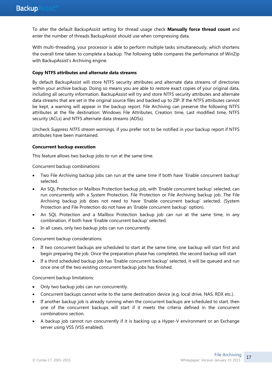To alter the default BackupAssist setting for thread usage check **Manually force thread count** and enter the number of threads BackupAssist should use when compressing data.

With multi-threading, your processor is able to perform multiple tasks simultaneously, which shortens the overall time taken to complete a backup. The following table compares the performance of WinZip with BackupAssist's Archiving engine.

#### **Copy NTFS attributes and alternate data streams**

By default BackupAssist will store NTFS security attributes and alternate data streams of directories within your archive backup. Doing so means you are able to restore exact copies of your original data, including all security information. BackupAssist will try and store NTFS security attributes and alternate data streams that are set in the original source files and backed up to ZIP. If the NTFS attributes cannot be kept, a warning will appear in the backup report. File Archiving can preserve the following NTFS attributes at the file destination: Windows File Attributes, Creation time, Last modified time, NTFS security (ACLs) and NTFS alternate data streams (ADSs).

Uncheck *Suppress NTFS stream warnings*, if you prefer not to be notified in your backup report if NTFS attributes have been maintained.

#### **Concurrent backup execution**

This feature allows two backup jobs to run at the same time.

Concurrent backup combinations:

- Two File Archiving backup jobs can run at the same time if both have "Enable concurrent backup" selected.
- An SQL Protection or Mailbox Protection backup job, with "Enable concurrent backup" selected, can run concurrently with a System Protection, File Protection or File Archiving backup job. The File Archiving backup job does not need to have "Enable concurrent backup" selected. (System Protection and File Protection do not have an 'Enable concurrent backup' option).
- An SQL Protection and a Mailbox Protection backup job can run at the same time, in any combination, if both have "Enable concurrent backup" selected.
- In all cases, only two backup jobs can run concurrently.

Concurrent backup considerations:

- If two concurrent backups are scheduled to start at the same time, one backup will start first and begin preparing the job. Once the preparation phase has completed, the second backup will start
- If a third scheduled backup job has 'Enable concurrent backup' selected, it will be queued and run once one of the two existing concurrent backup jobs has finished.

Concurrent backup limitations:

- Only two backup jobs can run concurrently.
- Concurrent backups cannot write to the same destination device (e.g. local drive, NAS, RDX etc.).
- If another backup job is already running when the concurrent backups are scheduled to start, then one of the concurrent backups will start if it meets the criteria defined in the concurrent combinations section.
- A backup job cannot run concurrently if it is backing up a Hyper-V environment or an Exchange server using VSS (VSS enabled).